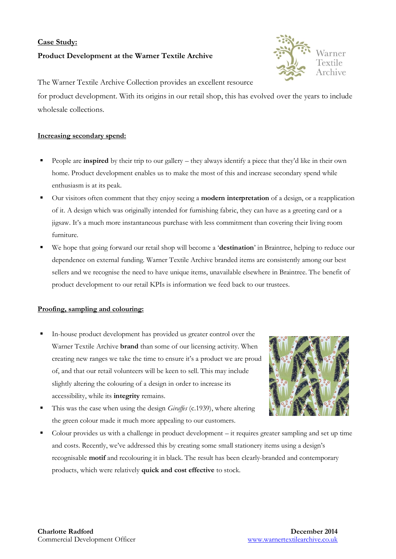# **Case Study: Product Development at the Warner Textile Archive**



The Warner Textile Archive Collection provides an excellent resource for product development. With its origins in our retail shop, this has evolved over the years to include wholesale collections.

## **Increasing secondary spend:**

- People are **inspired** by their trip to our gallery they always identify a piece that they'd like in their own home. Product development enables us to make the most of this and increase secondary spend while enthusiasm is at its peak.
- Our visitors often comment that they enjoy seeing a **modern interpretation** of a design, or a reapplication of it. A design which was originally intended for furnishing fabric, they can have as a greeting card or a jigsaw. It's a much more instantaneous purchase with less commitment than covering their living room furniture.
- We hope that going forward our retail shop will become a '**destination**' in Braintree, helping to reduce our dependence on external funding. Warner Textile Archive branded items are consistently among our best sellers and we recognise the need to have unique items, unavailable elsewhere in Braintree. The benefit of product development to our retail KPIs is information we feed back to our trustees.

### **Proofing, sampling and colouring:**

 In-house product development has provided us greater control over the Warner Textile Archive **brand** than some of our licensing activity. When creating new ranges we take the time to ensure it's a product we are proud of, and that our retail volunteers will be keen to sell. This may include slightly altering the colouring of a design in order to increase its accessibility, while its **integrity** remains.



- This was the case when using the design *Giraffes* (c.1939), where altering the green colour made it much more appealing to our customers.
- Colour provides us with a challenge in product development it requires greater sampling and set up time and costs. Recently, we've addressed this by creating some small stationery items using a design's recognisable **motif** and recolouring it in black. The result has been clearly-branded and contemporary products, which were relatively **quick and cost effective** to stock.